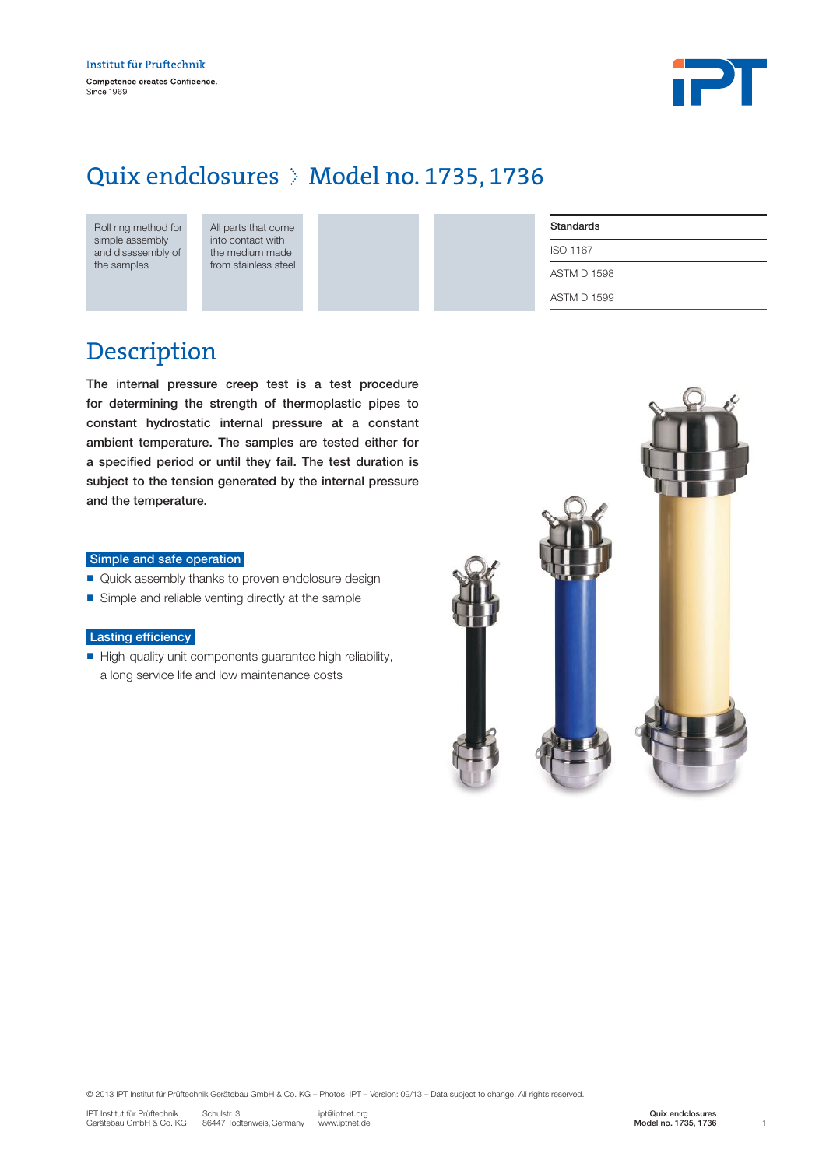

### Quix endclosures > Model no. 1735, 1736

| Roll ring method for |  |  |  |  |  |
|----------------------|--|--|--|--|--|
| simple assembly      |  |  |  |  |  |
| and disassembly of   |  |  |  |  |  |
| the samples          |  |  |  |  |  |

All parts that come into contact with the medium made from stainless steel

| <b>Standards</b>   |
|--------------------|
| ISO 1167           |
| <b>ASTM D 1598</b> |
| ASTM D 1599        |

### Description

The internal pressure creep test is a test procedure for determining the strength of thermoplastic pipes to constant hydrostatic internal pressure at a constant ambient temperature. The samples are tested either for a specified period or until they fail. The test duration is subject to the tension generated by the internal pressure and the temperature.

#### Simple and safe operation

- Quick assembly thanks to proven endclosure design
- Simple and reliable venting directly at the sample

#### Lasting efficiency

n High-quality unit components guarantee high reliability, a long service life and low maintenance costs



© 2013 IPT Institut für Prüftechnik Gerätebau GmbH & Co. KG – Photos: IPT – Version: 09/13 – Data subject to change. All rights reserved.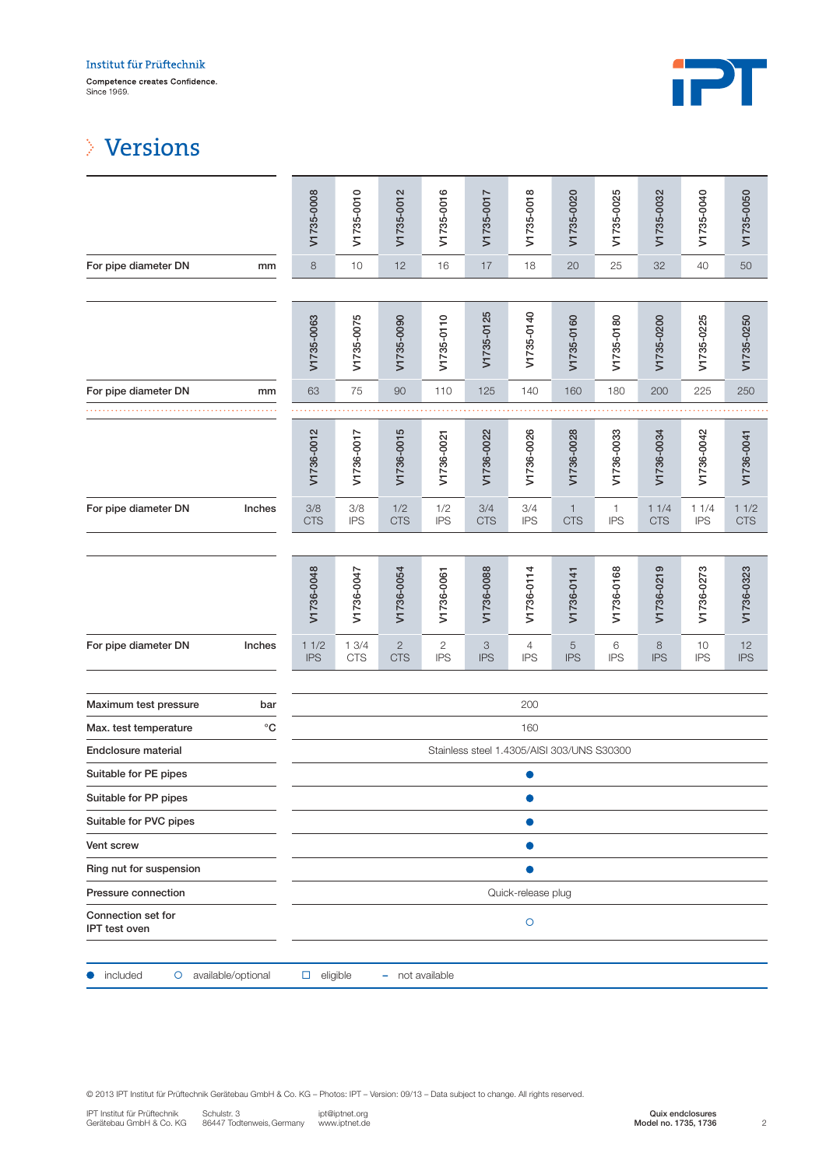

## Versions

|                                            |                    | V1735-0008                                 | V1735-0010         | V1735-0012                 | V1735-0016        | V1735-0017                              | V1735-0018        | V1735-0020                 | V1735-0025                 | V1735-0032         | V1735-0040         | V1735-0050         |
|--------------------------------------------|--------------------|--------------------------------------------|--------------------|----------------------------|-------------------|-----------------------------------------|-------------------|----------------------------|----------------------------|--------------------|--------------------|--------------------|
| For pipe diameter DN                       | mm                 | $\,8\,$                                    | 10                 | 12                         | 16                | 17                                      | 18                | 20                         | 25                         | 32                 | 40                 | $50\,$             |
|                                            |                    |                                            |                    |                            |                   |                                         |                   |                            |                            |                    |                    |                    |
|                                            |                    | V1735-0063                                 | V1735-0075         | V1735-0090                 | V1735-0110        | V1735-0125                              | V1735-0140        | V1735-0160                 | V1735-0180                 | V1735-0200         | V1735-0225         | V1735-0250         |
| For pipe diameter DN                       | mm                 | 63                                         | 75                 | 90                         | 110               | 125                                     | 140               | 160                        | 180                        | 200                | 225                | 250                |
|                                            |                    |                                            |                    |                            |                   |                                         |                   |                            |                            |                    |                    |                    |
|                                            |                    | V1736-0012                                 | V1736-0017         | V1736-0015                 | V1736-0021        | V1736-0022                              | V1736-0026        | V1736-0028                 | V1736-0033                 | V1736-0034         | V1736-0042         | V1736-0041         |
| For pipe diameter DN                       | Inches             | 3/8<br><b>CTS</b>                          | 3/8<br><b>IPS</b>  | 1/2<br><b>CTS</b>          | 1/2<br><b>IPS</b> | 3/4<br><b>CTS</b>                       | 3/4<br><b>IPS</b> | $\mathbf{1}$<br><b>CTS</b> | $\mathbf{1}$<br><b>IPS</b> | 11/4<br><b>CTS</b> | 11/4<br><b>IPS</b> | 11/2<br><b>CTS</b> |
|                                            |                    | V1736-0048                                 | V1736-0047         | V1736-0054                 | V1736-0061        | V1736-0088                              | V1736-0114        | V1736-0141                 | V1736-0168                 | V1736-0219         | V1736-0273         | V1736-0323         |
| For pipe diameter DN                       | Inches             | 11/2<br><b>IPS</b>                         | 13/4<br><b>CTS</b> | $\mathbf{2}$<br><b>CTS</b> | 2<br><b>IPS</b>   | $\ensuremath{\mathsf{3}}$<br><b>IPS</b> | 4<br><b>IPS</b>   | $\sqrt{5}$<br><b>IPS</b>   | 6<br><b>IPS</b>            | 8<br><b>IPS</b>    | 10<br><b>IPS</b>   | 12<br><b>IPS</b>   |
| Maximum test pressure                      | bar                |                                            |                    |                            |                   |                                         | 200               |                            |                            |                    |                    |                    |
| Max. test temperature                      | $^{\circ}{\rm C}$  | 160                                        |                    |                            |                   |                                         |                   |                            |                            |                    |                    |                    |
| Endclosure material                        |                    | Stainless steel 1.4305/AISI 303/UNS S30300 |                    |                            |                   |                                         |                   |                            |                            |                    |                    |                    |
| Suitable for PE pipes                      |                    | 0                                          |                    |                            |                   |                                         |                   |                            |                            |                    |                    |                    |
| Suitable for PP pipes                      |                    |                                            |                    |                            |                   |                                         |                   |                            |                            |                    |                    |                    |
| Suitable for PVC pipes                     |                    | $\bullet$                                  |                    |                            |                   |                                         |                   |                            |                            |                    |                    |                    |
| <b>Vent screw</b>                          |                    |                                            |                    |                            |                   |                                         |                   |                            |                            |                    |                    |                    |
| Ring nut for suspension                    |                    |                                            |                    |                            |                   |                                         |                   |                            |                            |                    |                    |                    |
| Pressure connection                        |                    | Quick-release plug                         |                    |                            |                   |                                         |                   |                            |                            |                    |                    |                    |
| Connection set for<br><b>IPT</b> test oven |                    | $\circ$                                    |                    |                            |                   |                                         |                   |                            |                            |                    |                    |                    |
| included<br>$\circ$                        | available/optional | $\Box$ eligible                            |                    | - not available            |                   |                                         |                   |                            |                            |                    |                    |                    |

© 2013 IPT Institut für Prüftechnik Gerätebau GmbH & Co. KG – Photos: IPT – Version: 09/13 – Data subject to change. All rights reserved.